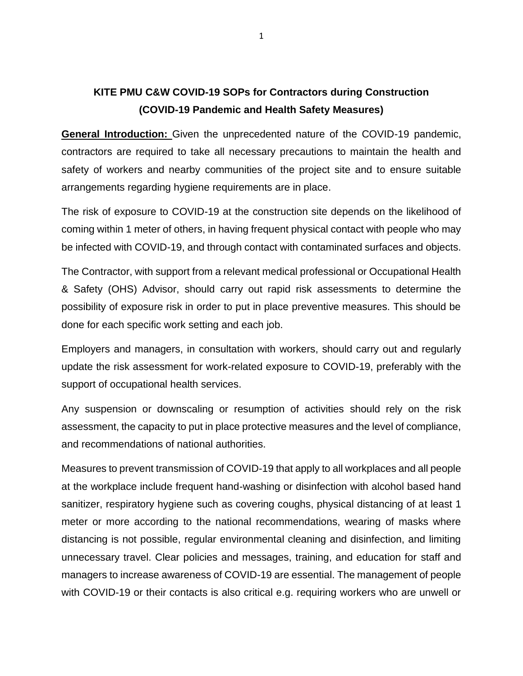## **KITE PMU C&W COVID-19 SOPs for Contractors during Construction (COVID-19 Pandemic and Health Safety Measures)**

**General Introduction:** Given the unprecedented nature of the COVID-19 pandemic, contractors are required to take all necessary precautions to maintain the health and safety of workers and nearby communities of the project site and to ensure suitable arrangements regarding hygiene requirements are in place.

The risk of exposure to COVID-19 at the construction site depends on the likelihood of coming within 1 meter of others, in having frequent physical contact with people who may be infected with COVID-19, and through contact with contaminated surfaces and objects.

The Contractor, with support from a relevant medical professional or Occupational Health & Safety (OHS) Advisor, should carry out rapid risk assessments to determine the possibility of exposure risk in order to put in place preventive measures. This should be done for each specific work setting and each job.

Employers and managers, in consultation with workers, should carry out and regularly update the risk assessment for work-related exposure to COVID-19, preferably with the support of occupational health services.

Any suspension or downscaling or resumption of activities should rely on the risk assessment, the capacity to put in place protective measures and the level of compliance, and recommendations of national authorities.

Measures to prevent transmission of COVID-19 that apply to all workplaces and all people at the workplace include frequent hand-washing or disinfection with alcohol based hand sanitizer, respiratory hygiene such as covering coughs, physical distancing of at least 1 meter or more according to the national recommendations, wearing of masks where distancing is not possible, regular environmental cleaning and disinfection, and limiting unnecessary travel. Clear policies and messages, training, and education for staff and managers to increase awareness of COVID-19 are essential. The management of people with COVID-19 or their contacts is also critical e.g. requiring workers who are unwell or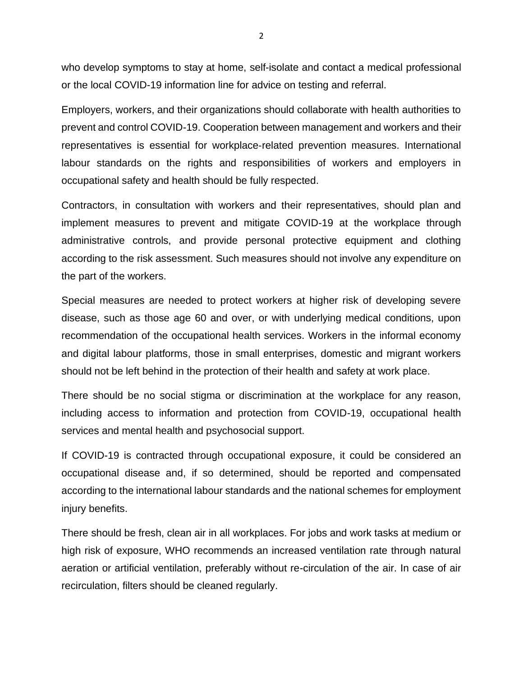who develop symptoms to stay at home, self-isolate and contact a medical professional or the local COVID-19 information line for advice on testing and referral.

Employers, workers, and their organizations should collaborate with health authorities to prevent and control COVID-19. Cooperation between management and workers and their representatives is essential for workplace‐related prevention measures. International labour standards on the rights and responsibilities of workers and employers in occupational safety and health should be fully respected.

Contractors, in consultation with workers and their representatives, should plan and implement measures to prevent and mitigate COVID-19 at the workplace through administrative controls, and provide personal protective equipment and clothing according to the risk assessment. Such measures should not involve any expenditure on the part of the workers.

Special measures are needed to protect workers at higher risk of developing severe disease, such as those age 60 and over, or with underlying medical conditions, upon recommendation of the occupational health services. Workers in the informal economy and digital labour platforms, those in small enterprises, domestic and migrant workers should not be left behind in the protection of their health and safety at work place.

There should be no social stigma or discrimination at the workplace for any reason, including access to information and protection from COVID-19, occupational health services and mental health and psychosocial support.

If COVID-19 is contracted through occupational exposure, it could be considered an occupational disease and, if so determined, should be reported and compensated according to the international labour standards and the national schemes for employment injury benefits.

There should be fresh, clean air in all workplaces. For jobs and work tasks at medium or high risk of exposure, WHO recommends an increased ventilation rate through natural aeration or artificial ventilation, preferably without re-circulation of the air. In case of air recirculation, filters should be cleaned regularly.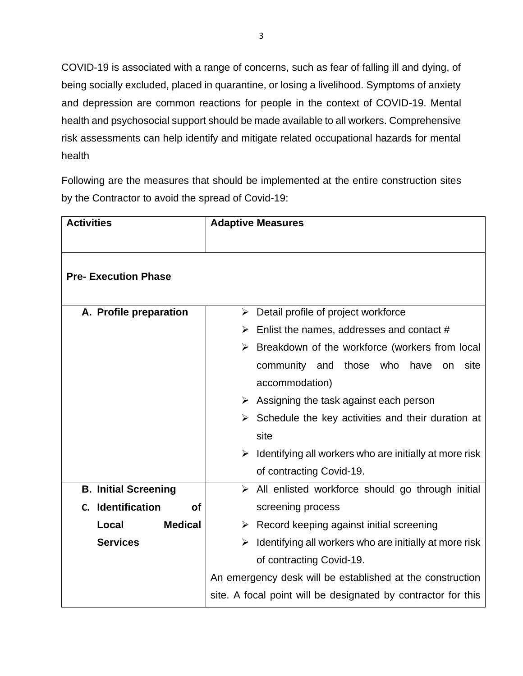COVID-19 is associated with a range of concerns, such as fear of falling ill and dying, of being socially excluded, placed in quarantine, or losing a livelihood. Symptoms of anxiety and depression are common reactions for people in the context of COVID-19. Mental health and psychosocial support should be made available to all workers. Comprehensive risk assessments can help identify and mitigate related occupational hazards for mental health

Following are the measures that should be implemented at the entire construction sites by the Contractor to avoid the spread of Covid-19:

| <b>Activities</b>           | <b>Adaptive Measures</b>                                          |
|-----------------------------|-------------------------------------------------------------------|
|                             |                                                                   |
| <b>Pre- Execution Phase</b> |                                                                   |
| A. Profile preparation      | Detail profile of project workforce<br>$\blacktriangleright$      |
|                             |                                                                   |
|                             | Enlist the names, addresses and contact #<br>➤                    |
|                             | $\triangleright$ Breakdown of the workforce (workers from local   |
|                             | those who<br>community and<br>have<br>site<br>on                  |
|                             | accommodation)                                                    |
|                             | Assigning the task against each person<br>➤                       |
|                             | Schedule the key activities and their duration at<br>➤            |
|                             | site                                                              |
|                             | Identifying all workers who are initially at more risk<br>➤       |
|                             | of contracting Covid-19.                                          |
| <b>B. Initial Screening</b> | $\triangleright$ All enlisted workforce should go through initial |
| C. Identification<br>of     | screening process                                                 |
| <b>Medical</b><br>Local     | $\triangleright$ Record keeping against initial screening         |
| <b>Services</b>             | Identifying all workers who are initially at more risk<br>➤       |
|                             | of contracting Covid-19.                                          |
|                             | An emergency desk will be established at the construction         |
|                             | site. A focal point will be designated by contractor for this     |
|                             |                                                                   |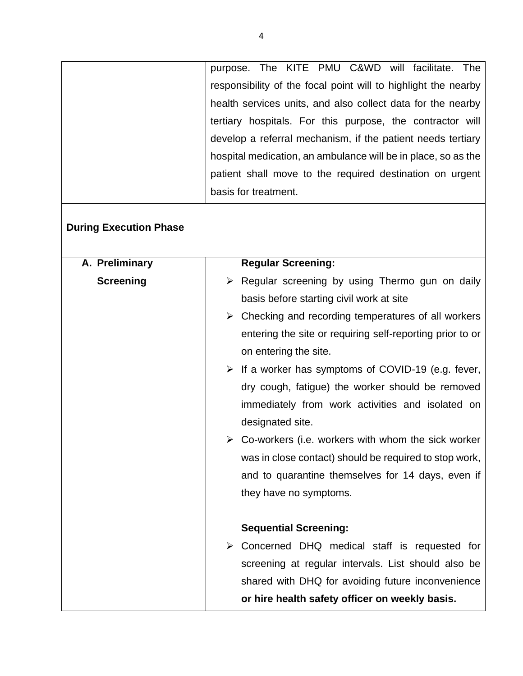| purpose.                                                    |  |  | The KITE PMU C&WD will facilitate. The                         |  |
|-------------------------------------------------------------|--|--|----------------------------------------------------------------|--|
|                                                             |  |  | responsibility of the focal point will to highlight the nearby |  |
|                                                             |  |  | health services units, and also collect data for the nearby    |  |
| tertiary hospitals. For this purpose, the contractor will   |  |  |                                                                |  |
| develop a referral mechanism, if the patient needs tertiary |  |  |                                                                |  |
|                                                             |  |  | hospital medication, an ambulance will be in place, so as the  |  |
|                                                             |  |  | patient shall move to the required destination on urgent       |  |
| basis for treatment.                                        |  |  |                                                                |  |

## **During Execution Phase**

| A. Preliminary   | <b>Regular Screening:</b>                                           |
|------------------|---------------------------------------------------------------------|
| <b>Screening</b> | $\triangleright$ Regular screening by using Thermo gun on daily     |
|                  | basis before starting civil work at site                            |
|                  | $\triangleright$ Checking and recording temperatures of all workers |
|                  | entering the site or requiring self-reporting prior to or           |
|                  | on entering the site.                                               |
|                  | $\triangleright$ If a worker has symptoms of COVID-19 (e.g. fever,  |
|                  | dry cough, fatigue) the worker should be removed                    |
|                  | immediately from work activities and isolated on                    |
|                  | designated site.                                                    |
|                  | $\triangleright$ Co-workers (i.e. workers with whom the sick worker |
|                  | was in close contact) should be required to stop work,              |
|                  | and to quarantine themselves for 14 days, even if                   |
|                  | they have no symptoms.                                              |
|                  |                                                                     |
|                  | <b>Sequential Screening:</b>                                        |
|                  | $\triangleright$ Concerned DHQ medical staff is requested for       |
|                  | screening at regular intervals. List should also be                 |
|                  | shared with DHQ for avoiding future inconvenience                   |
|                  | or hire health safety officer on weekly basis.                      |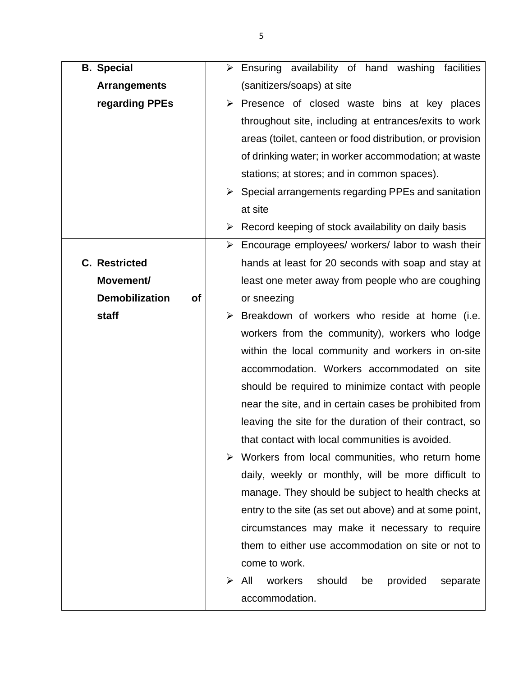| <b>B.</b> Special                  | $\triangleright$ Ensuring availability of hand washing facilities    |
|------------------------------------|----------------------------------------------------------------------|
| <b>Arrangements</b>                | (sanitizers/soaps) at site                                           |
| regarding PPEs                     | $\triangleright$ Presence of closed waste bins at key places         |
|                                    | throughout site, including at entrances/exits to work                |
|                                    | areas (toilet, canteen or food distribution, or provision            |
|                                    | of drinking water; in worker accommodation; at waste                 |
|                                    | stations; at stores; and in common spaces).                          |
|                                    | $\triangleright$ Special arrangements regarding PPEs and sanitation  |
|                                    | at site                                                              |
|                                    | $\triangleright$ Record keeping of stock availability on daily basis |
|                                    | > Encourage employees/ workers/ labor to wash their                  |
| <b>C.</b> Restricted               | hands at least for 20 seconds with soap and stay at                  |
| Movement/                          | least one meter away from people who are coughing                    |
| <b>Demobilization</b><br><b>of</b> | or sneezing                                                          |
| staff                              | Breakdown of workers who reside at home (i.e.                        |
|                                    | workers from the community), workers who lodge                       |
|                                    | within the local community and workers in on-site                    |
|                                    | accommodation. Workers accommodated on site                          |
|                                    | should be required to minimize contact with people                   |
|                                    | near the site, and in certain cases be prohibited from               |
|                                    | leaving the site for the duration of their contract, so              |
|                                    | that contact with local communities is avoided.                      |
|                                    | $\triangleright$ Workers from local communities, who return home     |
|                                    | daily, weekly or monthly, will be more difficult to                  |
|                                    | manage. They should be subject to health checks at                   |
|                                    | entry to the site (as set out above) and at some point,              |
|                                    | circumstances may make it necessary to require                       |
|                                    | them to either use accommodation on site or not to                   |
|                                    | come to work.                                                        |
|                                    | All<br>workers<br>should<br>provided<br>⋗<br>be<br>separate          |
|                                    | accommodation.                                                       |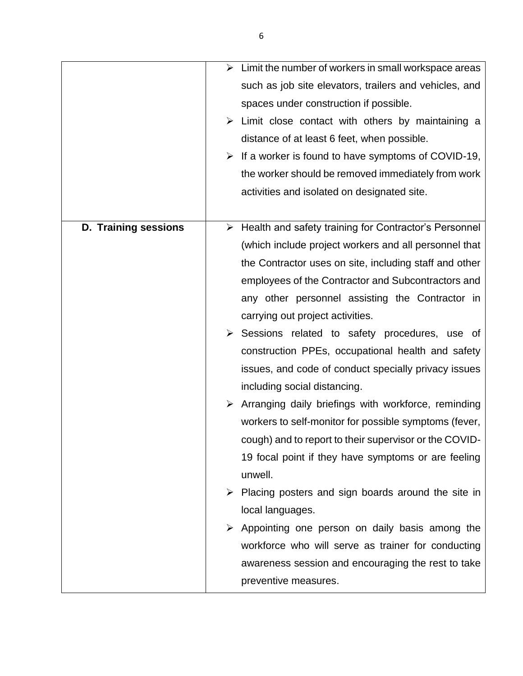|                      | $\triangleright$ Limit the number of workers in small workspace areas  |
|----------------------|------------------------------------------------------------------------|
|                      | such as job site elevators, trailers and vehicles, and                 |
|                      | spaces under construction if possible.                                 |
|                      | $\triangleright$ Limit close contact with others by maintaining a      |
|                      | distance of at least 6 feet, when possible.                            |
|                      | $\triangleright$ If a worker is found to have symptoms of COVID-19,    |
|                      | the worker should be removed immediately from work                     |
|                      | activities and isolated on designated site.                            |
|                      |                                                                        |
| D. Training sessions | $\triangleright$ Health and safety training for Contractor's Personnel |
|                      | (which include project workers and all personnel that                  |
|                      | the Contractor uses on site, including staff and other                 |
|                      | employees of the Contractor and Subcontractors and                     |
|                      | any other personnel assisting the Contractor in                        |
|                      | carrying out project activities.                                       |
|                      | $\triangleright$ Sessions related to safety procedures, use of         |
|                      | construction PPEs, occupational health and safety                      |
|                      | issues, and code of conduct specially privacy issues                   |
|                      | including social distancing.                                           |
|                      | $\triangleright$ Arranging daily briefings with workforce, reminding   |
|                      | workers to self-monitor for possible symptoms (fever,                  |
|                      | cough) and to report to their supervisor or the COVID-                 |
|                      | 19 focal point if they have symptoms or are feeling                    |
|                      | unwell.                                                                |
|                      | $\triangleright$ Placing posters and sign boards around the site in    |
|                      | local languages.                                                       |
|                      | $\triangleright$ Appointing one person on daily basis among the        |
|                      | workforce who will serve as trainer for conducting                     |
|                      | awareness session and encouraging the rest to take                     |
|                      | preventive measures.                                                   |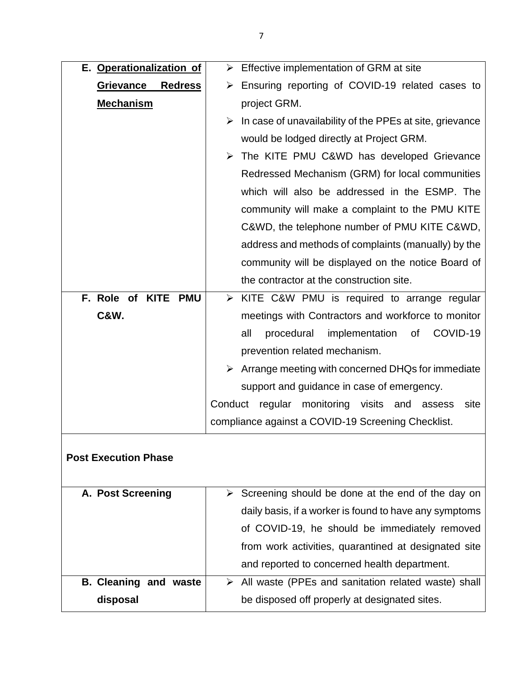| E. Operationalization of     | $\triangleright$ Effective implementation of GRM at site                  |
|------------------------------|---------------------------------------------------------------------------|
| Grievance Redress            | $\triangleright$ Ensuring reporting of COVID-19 related cases to          |
| <b>Mechanism</b>             | project GRM.                                                              |
|                              | $\triangleright$ In case of unavailability of the PPEs at site, grievance |
|                              | would be lodged directly at Project GRM.                                  |
|                              | > The KITE PMU C&WD has developed Grievance                               |
|                              | Redressed Mechanism (GRM) for local communities                           |
|                              | which will also be addressed in the ESMP. The                             |
|                              | community will make a complaint to the PMU KITE                           |
|                              | C&WD, the telephone number of PMU KITE C&WD,                              |
|                              | address and methods of complaints (manually) by the                       |
|                              | community will be displayed on the notice Board of                        |
|                              | the contractor at the construction site.                                  |
| F. Role of KITE PMU          | $\triangleright$ KITE C&W PMU is required to arrange regular              |
| <b>C&amp;W.</b>              | meetings with Contractors and workforce to monitor                        |
|                              | implementation<br>COVID-19<br>all<br>procedural<br>of                     |
|                              | prevention related mechanism.                                             |
|                              | $\triangleright$ Arrange meeting with concerned DHQs for immediate        |
|                              | support and guidance in case of emergency.                                |
|                              | Conduct<br>monitoring visits and assess<br>regular<br>site                |
|                              | compliance against a COVID-19 Screening Checklist.                        |
|                              |                                                                           |
| <b>Post Execution Phase</b>  |                                                                           |
|                              |                                                                           |
| A. Post Screening            | Screening should be done at the end of the day on                         |
|                              | daily basis, if a worker is found to have any symptoms                    |
|                              | of COVID-19, he should be immediately removed                             |
|                              | from work activities, quarantined at designated site                      |
|                              | and reported to concerned health department.                              |
| <b>B. Cleaning and waste</b> | $\triangleright$ All waste (PPEs and sanitation related waste) shall      |
| disposal                     | be disposed off properly at designated sites.                             |